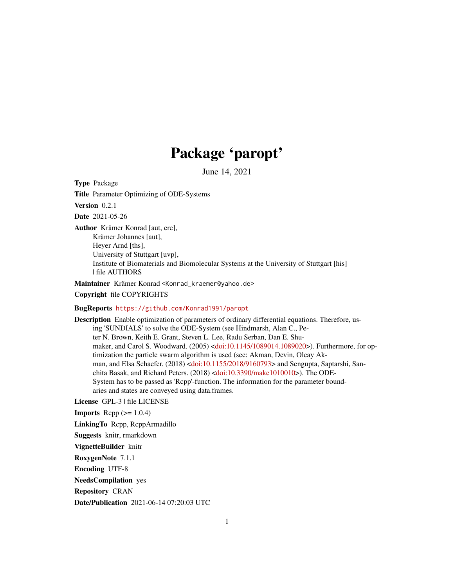## Package 'paropt'

June 14, 2021

Type Package

Title Parameter Optimizing of ODE-Systems

Version 0.2.1

Date 2021-05-26

Author Krämer Konrad [aut, cre], Krämer Johannes [aut], Heyer Arnd [ths], University of Stuttgart [uvp], Institute of Biomaterials and Biomolecular Systems at the University of Stuttgart [his] | file AUTHORS

Maintainer Krämer Konrad <Konrad\_kraemer@yahoo.de>

Copyright file COPYRIGHTS

#### BugReports <https://github.com/Konrad1991/paropt>

Description Enable optimization of parameters of ordinary differential equations. Therefore, using 'SUNDIALS' to solve the ODE-System (see Hindmarsh, Alan C., Peter N. Brown, Keith E. Grant, Steven L. Lee, Radu Serban, Dan E. Shumaker, and Carol S. Woodward. (2005) [<doi:10.1145/1089014.1089020>](https://doi.org/10.1145/1089014.1089020)). Furthermore, for optimization the particle swarm algorithm is used (see: Akman, Devin, Olcay Akman, and Elsa Schaefer. (2018) [<doi:10.1155/2018/9160793>](https://doi.org/10.1155/2018/9160793) and Sengupta, Saptarshi, Sanchita Basak, and Richard Peters. (2018) [<doi:10.3390/make1010010>](https://doi.org/10.3390/make1010010)). The ODE-System has to be passed as 'Rcpp'-function. The information for the parameter boundaries and states are conveyed using data.frames.

License GPL-3 | file LICENSE

**Imports** Rcpp  $(>= 1.0.4)$ 

LinkingTo Rcpp, RcppArmadillo

Suggests knitr, rmarkdown

VignetteBuilder knitr

RoxygenNote 7.1.1

Encoding UTF-8

NeedsCompilation yes

Repository CRAN

Date/Publication 2021-06-14 07:20:03 UTC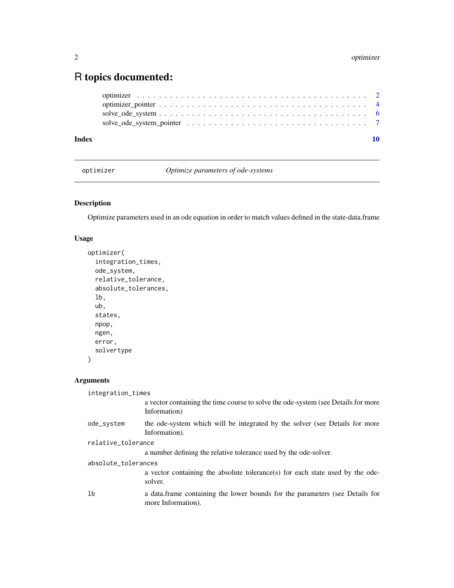### <span id="page-1-0"></span>R topics documented:

| Index |  |
|-------|--|
|       |  |
|       |  |
|       |  |
|       |  |

optimizer *Optimize parameters of ode-systems*

#### Description

Optimize parameters used in an ode equation in order to match values defined in the state-data.frame

#### Usage

```
optimizer(
  integration_times,
 ode_system,
  relative_tolerance,
  absolute_tolerances,
  lb,
  ub,
  states,
 npop,
 ngen,
 error,
  solvertype
)
```
#### Arguments

integration\_times

|                     | a vector containing the time course to solve the ode-system (see Details for more<br>Information)  |
|---------------------|----------------------------------------------------------------------------------------------------|
| ode_system          | the ode-system which will be integrated by the solver (see Details for more<br>Information).       |
| relative_tolerance  |                                                                                                    |
|                     | a number defining the relative tolerance used by the ode-solver.                                   |
| absolute_tolerances |                                                                                                    |
|                     | a vector containing the absolute tolerance(s) for each state used by the ode-<br>solver.           |
| 1 <sub>b</sub>      | a data frame containing the lower bounds for the parameters (see Details for<br>more Information). |
|                     |                                                                                                    |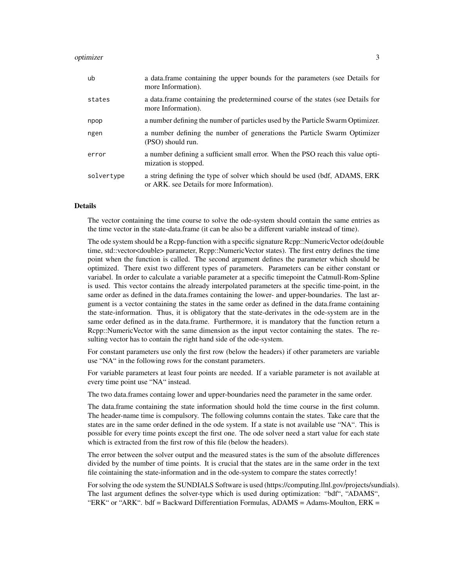#### optimizer 3

| ub         | a data.frame containing the upper bounds for the parameters (see Details for<br>more Information).                        |
|------------|---------------------------------------------------------------------------------------------------------------------------|
| states     | a data frame containing the predetermined course of the states (see Details for<br>more Information).                     |
| npop       | a number defining the number of particles used by the Particle Swarm Optimizer.                                           |
| ngen       | a number defining the number of generations the Particle Swarm Optimizer<br>(PSO) should run.                             |
| error      | a number defining a sufficient small error. When the PSO reach this value opti-<br>mization is stopped.                   |
| solvertype | a string defining the type of solver which should be used (bdf, ADAMS, ERK)<br>or ARK. see Details for more Information). |

#### Details

The vector containing the time course to solve the ode-system should contain the same entries as the time vector in the state-data.frame (it can be also be a different variable instead of time).

The ode system should be a Rcpp-function with a specific signature Rcpp::NumericVector ode(double time, std::vector<double> parameter, Rcpp::NumericVector states). The first entry defines the time point when the function is called. The second argument defines the parameter which should be optimized. There exist two different types of parameters. Parameters can be either constant or variabel. In order to calculate a variable parameter at a specific timepoint the Catmull-Rom-Spline is used. This vector contains the already interpolated parameters at the specific time-point, in the same order as defined in the data.frames containing the lower- and upper-boundaries. The last argument is a vector containing the states in the same order as defined in the data.frame containing the state-information. Thus, it is obligatory that the state-derivates in the ode-system are in the same order defined as in the data.frame. Furthermore, it is mandatory that the function return a Rcpp::NumericVector with the same dimension as the input vector containing the states. The resulting vector has to contain the right hand side of the ode-system.

For constant parameters use only the first row (below the headers) if other parameters are variable use "NA" in the following rows for the constant parameters.

For variable parameters at least four points are needed. If a variable parameter is not available at every time point use "NA" instead.

The two data.frames containg lower and upper-boundaries need the parameter in the same order.

The data.frame containing the state information should hold the time course in the first column. The header-name time is compulsory. The following columns contain the states. Take care that the states are in the same order defined in the ode system. If a state is not available use "NA". This is possible for every time points except the first one. The ode solver need a start value for each state which is extracted from the first row of this file (below the headers).

The error between the solver output and the measured states is the sum of the absolute differences divided by the number of time points. It is crucial that the states are in the same order in the text file cointaining the state-information and in the ode-system to compare the states correctly!

For solving the ode system the SUNDIALS Software is used (https://computing.llnl.gov/projects/sundials). The last argument defines the solver-type which is used during optimization: "bdf", "ADAMS", "ERK" or "ARK". bdf = Backward Differentiation Formulas, ADAMS = Adams-Moulton, ERK =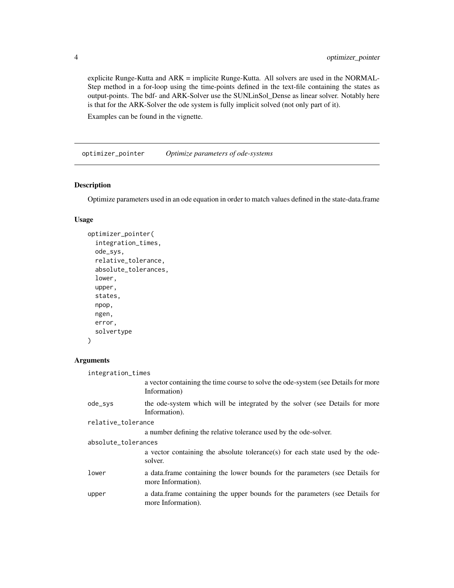explicite Runge-Kutta and ARK = implicite Runge-Kutta. All solvers are used in the NORMAL-Step method in a for-loop using the time-points defined in the text-file containing the states as output-points. The bdf- and ARK-Solver use the SUNLinSol\_Dense as linear solver. Notably here is that for the ARK-Solver the ode system is fully implicit solved (not only part of it).

Examples can be found in the vignette.

optimizer\_pointer *Optimize parameters of ode-systems*

#### Description

Optimize parameters used in an ode equation in order to match values defined in the state-data.frame

#### Usage

```
optimizer_pointer(
  integration_times,
  ode_sys,
  relative_tolerance,
  absolute_tolerances,
  lower,
  upper,
  states,
  npop,
  ngen,
  error,
  solvertype
\mathcal{L}
```
#### Arguments

| integration_times   |                                                                                                    |
|---------------------|----------------------------------------------------------------------------------------------------|
|                     | a vector containing the time course to solve the ode-system (see Details for more<br>Information)  |
| ode_sys             | the ode-system which will be integrated by the solver (see Details for more<br>Information).       |
| relative_tolerance  |                                                                                                    |
|                     | a number defining the relative tolerance used by the ode-solver.                                   |
| absolute_tolerances |                                                                                                    |
|                     | a vector containing the absolute tolerance(s) for each state used by the ode-<br>solver.           |
| lower               | a data.frame containing the lower bounds for the parameters (see Details for<br>more Information). |
| upper               | a data frame containing the upper bounds for the parameters (see Details for<br>more Information). |

<span id="page-3-0"></span>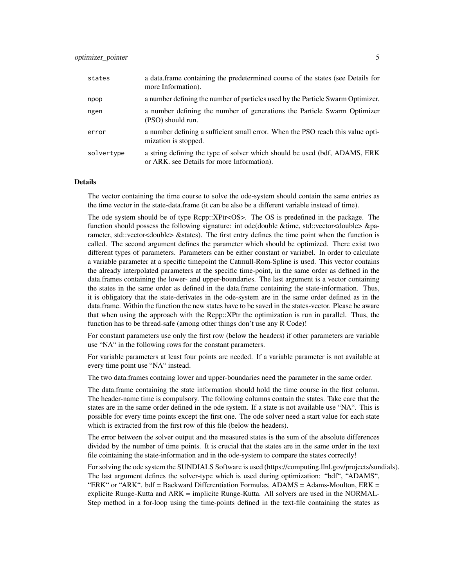| states     | a data frame containing the predetermined course of the states (see Details for<br>more Information).                     |
|------------|---------------------------------------------------------------------------------------------------------------------------|
| npop       | a number defining the number of particles used by the Particle Swarm Optimizer.                                           |
| ngen       | a number defining the number of generations the Particle Swarm Optimizer<br>(PSO) should run.                             |
| error      | a number defining a sufficient small error. When the PSO reach this value opti-<br>mization is stopped.                   |
| solvertype | a string defining the type of solver which should be used (bdf, ADAMS, ERK)<br>or ARK. see Details for more Information). |

#### Details

The vector containing the time course to solve the ode-system should contain the same entries as the time vector in the state-data.frame (it can be also be a different variable instead of time).

The ode system should be of type Rcpp::XPtr<OS>. The OS is predefined in the package. The function should possess the following signature: int ode(double &time, std::vector<double> &parameter, std::vector<double> &states). The first entry defines the time point when the function is called. The second argument defines the parameter which should be optimized. There exist two different types of parameters. Parameters can be either constant or variabel. In order to calculate a variable parameter at a specific timepoint the Catmull-Rom-Spline is used. This vector contains the already interpolated parameters at the specific time-point, in the same order as defined in the data.frames containing the lower- and upper-boundaries. The last argument is a vector containing the states in the same order as defined in the data.frame containing the state-information. Thus, it is obligatory that the state-derivates in the ode-system are in the same order defined as in the data.frame. Within the function the new states have to be saved in the states-vector. Please be aware that when using the approach with the Rcpp::XPtr the optimization is run in parallel. Thus, the function has to be thread-safe (among other things don't use any R Code)!

For constant parameters use only the first row (below the headers) if other parameters are variable use "NA" in the following rows for the constant parameters.

For variable parameters at least four points are needed. If a variable parameter is not available at every time point use "NA" instead.

The two data.frames containg lower and upper-boundaries need the parameter in the same order.

The data.frame containing the state information should hold the time course in the first column. The header-name time is compulsory. The following columns contain the states. Take care that the states are in the same order defined in the ode system. If a state is not available use "NA". This is possible for every time points except the first one. The ode solver need a start value for each state which is extracted from the first row of this file (below the headers).

The error between the solver output and the measured states is the sum of the absolute differences divided by the number of time points. It is crucial that the states are in the same order in the text file cointaining the state-information and in the ode-system to compare the states correctly!

For solving the ode system the SUNDIALS Software is used (https://computing.llnl.gov/projects/sundials). The last argument defines the solver-type which is used during optimization: "bdf", "ADAMS", "ERK" or "ARK". bdf = Backward Differentiation Formulas,  $ADAMS = Adams-Moulton$ ,  $ERK =$ explicite Runge-Kutta and ARK = implicite Runge-Kutta. All solvers are used in the NORMAL-Step method in a for-loop using the time-points defined in the text-file containing the states as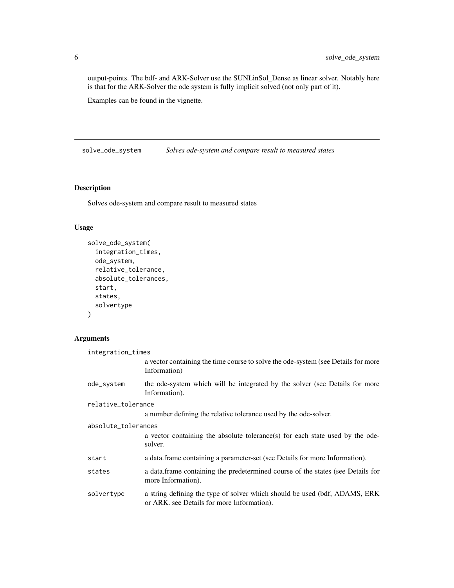output-points. The bdf- and ARK-Solver use the SUNLinSol\_Dense as linear solver. Notably here is that for the ARK-Solver the ode system is fully implicit solved (not only part of it).

Examples can be found in the vignette.

solve\_ode\_system *Solves ode-system and compare result to measured states*

#### Description

Solves ode-system and compare result to measured states

#### Usage

```
solve_ode_system(
  integration_times,
  ode_system,
  relative_tolerance,
  absolute_tolerances,
  start,
 states,
  solvertype
)
```
#### Arguments

| integration_times   |                                                                                                                           |  |
|---------------------|---------------------------------------------------------------------------------------------------------------------------|--|
|                     | a vector containing the time course to solve the ode-system (see Details for more<br>Information)                         |  |
| ode_system          | the ode-system which will be integrated by the solver (see Details for more<br>Information).                              |  |
| relative_tolerance  |                                                                                                                           |  |
|                     | a number defining the relative tolerance used by the ode-solver.                                                          |  |
| absolute_tolerances |                                                                                                                           |  |
|                     | a vector containing the absolute tolerance(s) for each state used by the ode-<br>solver.                                  |  |
| start               | a data frame containing a parameter-set (see Details for more Information).                                               |  |
| states              | a data.frame containing the predetermined course of the states (see Details for<br>more Information).                     |  |
| solvertype          | a string defining the type of solver which should be used (bdf, ADAMS, ERK)<br>or ARK. see Details for more Information). |  |

<span id="page-5-0"></span>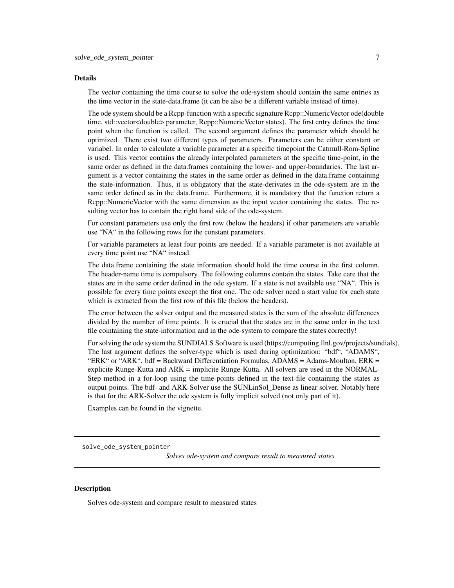#### <span id="page-6-0"></span>Details

The vector containing the time course to solve the ode-system should contain the same entries as the time vector in the state-data.frame (it can be also be a different variable instead of time).

The ode system should be a Rcpp-function with a specific signature Rcpp::NumericVector ode(double time, std::vector<double> parameter, Rcpp::NumericVector states). The first entry defines the time point when the function is called. The second argument defines the parameter which should be optimized. There exist two different types of parameters. Parameters can be either constant or variabel. In order to calculate a variable parameter at a specific timepoint the Catmull-Rom-Spline is used. This vector contains the already interpolated parameters at the specific time-point, in the same order as defined in the data.frames containing the lower- and upper-boundaries. The last argument is a vector containing the states in the same order as defined in the data.frame containing the state-information. Thus, it is obligatory that the state-derivates in the ode-system are in the same order defined as in the data.frame. Furthermore, it is mandatory that the function return a Rcpp::NumericVector with the same dimension as the input vector containing the states. The resulting vector has to contain the right hand side of the ode-system.

For constant parameters use only the first row (below the headers) if other parameters are variable use "NA" in the following rows for the constant parameters.

For variable parameters at least four points are needed. If a variable parameter is not available at every time point use "NA" instead.

The data.frame containing the state information should hold the time course in the first column. The header-name time is compulsory. The following columns contain the states. Take care that the states are in the same order defined in the ode system. If a state is not available use "NA". This is possible for every time points except the first one. The ode solver need a start value for each state which is extracted from the first row of this file (below the headers).

The error between the solver output and the measured states is the sum of the absolute differences divided by the number of time points. It is crucial that the states are in the same order in the text file cointaining the state-information and in the ode-system to compare the states correctly!

For solving the ode system the SUNDIALS Software is used (https://computing.llnl.gov/projects/sundials). The last argument defines the solver-type which is used during optimization: "bdf", "ADAMS", "ERK" or "ARK", bdf = Backward Differentiation Formulas,  $ADAMS = Adams_Moulton$ . ERK = explicite Runge-Kutta and ARK = implicite Runge-Kutta. All solvers are used in the NORMAL-Step method in a for-loop using the time-points defined in the text-file containing the states as output-points. The bdf- and ARK-Solver use the SUNLinSol\_Dense as linear solver. Notably here is that for the ARK-Solver the ode system is fully implicit solved (not only part of it).

Examples can be found in the vignette.

solve\_ode\_system\_pointer

*Solves ode-system and compare result to measured states*

#### Description

Solves ode-system and compare result to measured states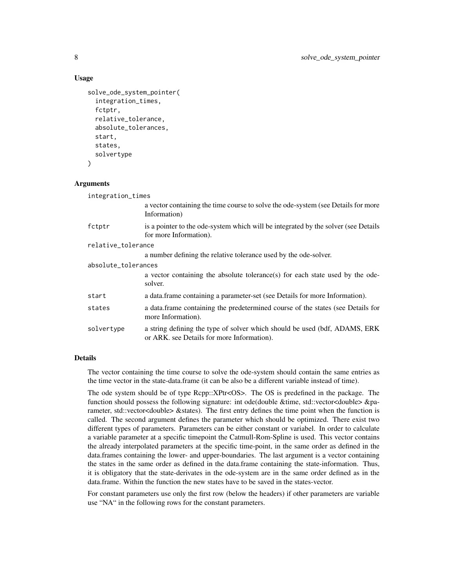#### Usage

```
solve_ode_system_pointer(
  integration_times,
  fctptr,
  relative_tolerance,
  absolute_tolerances,
  start,
  states,
  solvertype
)
```
#### Arguments

| integration_times   |                                                                                                                           |  |
|---------------------|---------------------------------------------------------------------------------------------------------------------------|--|
|                     | a vector containing the time course to solve the ode-system (see Details for more<br>Information)                         |  |
| fctptr              | is a pointer to the ode-system which will be integrated by the solver (see Details<br>for more Information).              |  |
| relative_tolerance  |                                                                                                                           |  |
|                     | a number defining the relative tolerance used by the ode-solver.                                                          |  |
| absolute_tolerances |                                                                                                                           |  |
|                     | a vector containing the absolute tolerance(s) for each state used by the ode-<br>solver.                                  |  |
| start               | a data frame containing a parameter-set (see Details for more Information).                                               |  |
| states              | a data frame containing the predetermined course of the states (see Details for<br>more Information).                     |  |
| solvertype          | a string defining the type of solver which should be used (bdf, ADAMS, ERK)<br>or ARK, see Details for more Information). |  |

#### Details

The vector containing the time course to solve the ode-system should contain the same entries as the time vector in the state-data.frame (it can be also be a different variable instead of time).

The ode system should be of type Rcpp::XPtr<OS>. The OS is predefined in the package. The function should possess the following signature: int ode(double &time, std::vector<double> &parameter, std::vector<double> &states). The first entry defines the time point when the function is called. The second argument defines the parameter which should be optimized. There exist two different types of parameters. Parameters can be either constant or variabel. In order to calculate a variable parameter at a specific timepoint the Catmull-Rom-Spline is used. This vector contains the already interpolated parameters at the specific time-point, in the same order as defined in the data.frames containing the lower- and upper-boundaries. The last argument is a vector containing the states in the same order as defined in the data.frame containing the state-information. Thus, it is obligatory that the state-derivates in the ode-system are in the same order defined as in the data.frame. Within the function the new states have to be saved in the states-vector.

For constant parameters use only the first row (below the headers) if other parameters are variable use "NA" in the following rows for the constant parameters.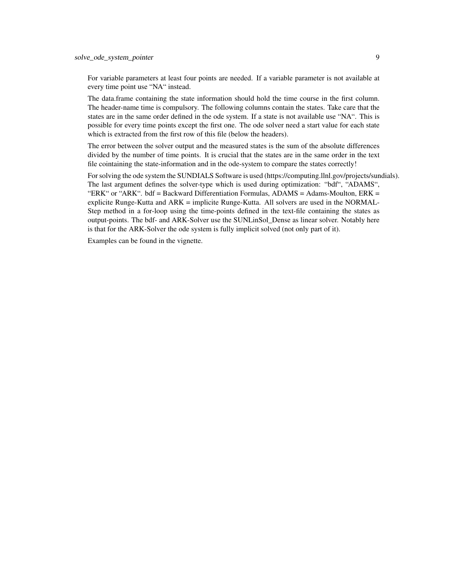For variable parameters at least four points are needed. If a variable parameter is not available at every time point use "NA" instead.

The data.frame containing the state information should hold the time course in the first column. The header-name time is compulsory. The following columns contain the states. Take care that the states are in the same order defined in the ode system. If a state is not available use "NA". This is possible for every time points except the first one. The ode solver need a start value for each state which is extracted from the first row of this file (below the headers).

The error between the solver output and the measured states is the sum of the absolute differences divided by the number of time points. It is crucial that the states are in the same order in the text file cointaining the state-information and in the ode-system to compare the states correctly!

For solving the ode system the SUNDIALS Software is used (https://computing.llnl.gov/projects/sundials). The last argument defines the solver-type which is used during optimization: "bdf", "ADAMS", "ERK" or "ARK". bdf = Backward Differentiation Formulas, ADAMS = Adams-Moulton, ERK = explicite Runge-Kutta and ARK = implicite Runge-Kutta. All solvers are used in the NORMAL-Step method in a for-loop using the time-points defined in the text-file containing the states as output-points. The bdf- and ARK-Solver use the SUNLinSol\_Dense as linear solver. Notably here is that for the ARK-Solver the ode system is fully implicit solved (not only part of it).

Examples can be found in the vignette.